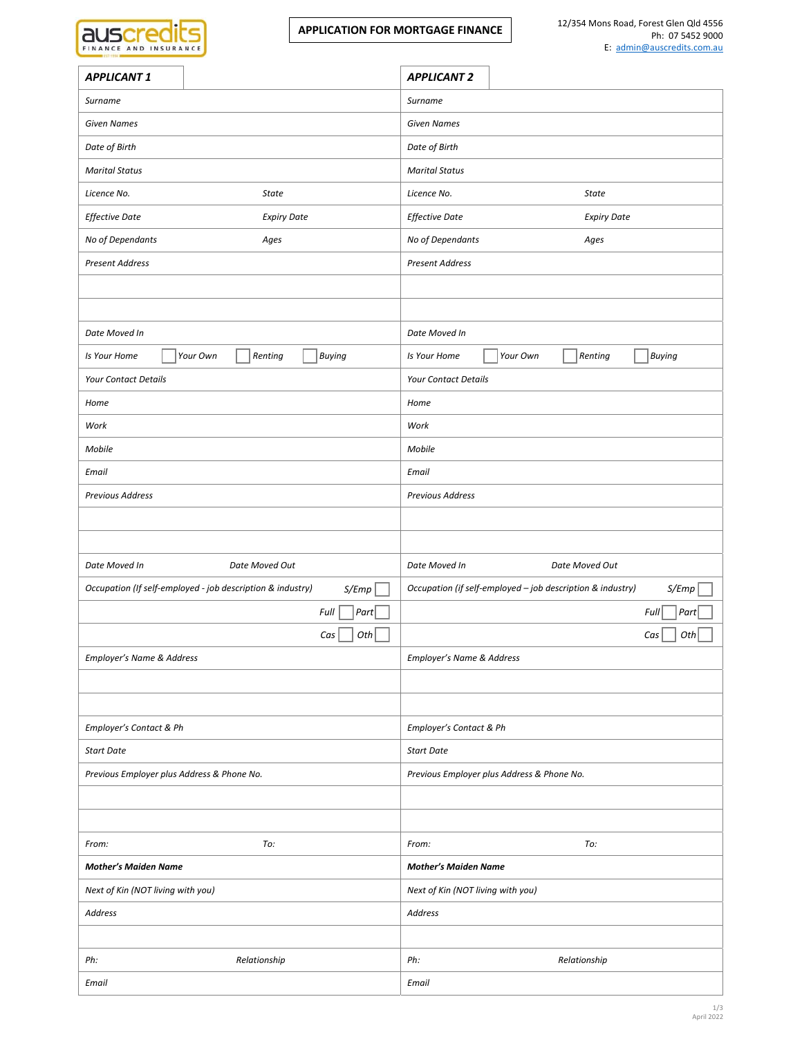| FINANCE AND INSURANCE |  |  |  |
|-----------------------|--|--|--|

| <b>APPLICANT 1</b>                                                  | <b>APPLICANT 2</b>                                                  |  |
|---------------------------------------------------------------------|---------------------------------------------------------------------|--|
| Surname                                                             | Surname                                                             |  |
| <b>Given Names</b>                                                  | <b>Given Names</b>                                                  |  |
| Date of Birth                                                       | Date of Birth                                                       |  |
| <b>Marital Status</b>                                               | <b>Marital Status</b>                                               |  |
| Licence No.<br><b>State</b>                                         | Licence No.<br>State                                                |  |
| <b>Effective Date</b><br><b>Expiry Date</b>                         | <b>Effective Date</b><br><b>Expiry Date</b>                         |  |
| No of Dependants<br>Ages                                            | No of Dependants<br>Ages                                            |  |
| <b>Present Address</b>                                              | <b>Present Address</b>                                              |  |
|                                                                     |                                                                     |  |
|                                                                     |                                                                     |  |
| Date Moved In                                                       | Date Moved In                                                       |  |
| Your Own<br>Renting<br><b>Buying</b><br>Is Your Home                | Your Own<br>Renting<br>Buying<br>Is Your Home                       |  |
| Your Contact Details                                                | <b>Your Contact Details</b>                                         |  |
| Home                                                                | Home                                                                |  |
| Work                                                                | Work                                                                |  |
| Mobile                                                              | Mobile                                                              |  |
| Email                                                               | Email                                                               |  |
| Previous Address                                                    | Previous Address                                                    |  |
|                                                                     |                                                                     |  |
|                                                                     |                                                                     |  |
| Date Moved In<br>Date Moved Out                                     | Date Moved In<br>Date Moved Out                                     |  |
| Occupation (If self-employed - job description & industry)<br>S/Emp | Occupation (if self-employed - job description & industry)<br>S/Emp |  |
| Part<br>Full                                                        | Full<br>Part                                                        |  |
| Cas<br>Oth                                                          | Cas<br>Oth                                                          |  |
| Employer's Name & Address                                           | Employer's Name & Address                                           |  |
|                                                                     |                                                                     |  |
|                                                                     |                                                                     |  |
| Employer's Contact & Ph                                             | Employer's Contact & Ph                                             |  |
| <b>Start Date</b>                                                   | <b>Start Date</b>                                                   |  |
| Previous Employer plus Address & Phone No.                          | Previous Employer plus Address & Phone No.                          |  |
|                                                                     |                                                                     |  |
|                                                                     |                                                                     |  |
| From:<br>To:                                                        | From:<br>To:                                                        |  |
| <b>Mother's Maiden Name</b>                                         | <b>Mother's Maiden Name</b>                                         |  |
| Next of Kin (NOT living with you)                                   | Next of Kin (NOT living with you)                                   |  |
| Address                                                             | Address                                                             |  |
|                                                                     |                                                                     |  |
| Ph:<br>Relationship                                                 | Ph:<br>Relationship                                                 |  |
|                                                                     |                                                                     |  |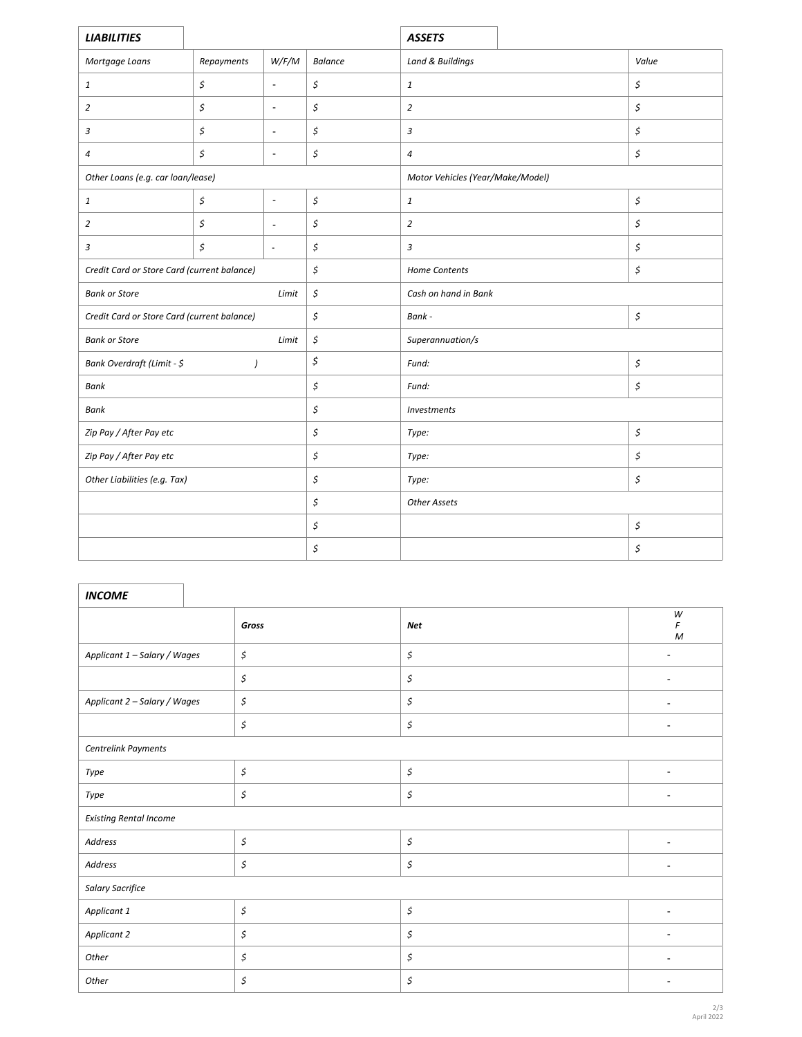| <b>LIABILITIES</b>                             |            |                      |                      | <b>ASSETS</b>                                 |                      |       |
|------------------------------------------------|------------|----------------------|----------------------|-----------------------------------------------|----------------------|-------|
| Mortgage Loans                                 | Repayments | W/F/M                | <b>Balance</b>       | Land & Buildings                              |                      | Value |
| $\mathbf{1}$                                   | \$         | $\blacksquare$       | \$                   | $\mathbf{1}% \in\mathbb{Z}_{+}^{d}[0,\infty)$ |                      | \$    |
| $\overline{2}$                                 | \$         | $\blacksquare$       | \$                   | $\overline{2}$                                |                      | \$    |
| 3                                              | \$         | $\blacksquare$       | \$                   | $\sqrt{3}$                                    |                      | \$    |
| 4                                              | \$         | $\blacksquare$       | \$                   | $\overline{a}$                                |                      | \$    |
| Other Loans (e.g. car loan/lease)              |            |                      |                      | Motor Vehicles (Year/Make/Model)              |                      |       |
| $\mathbf{1}$                                   | \$         | $\blacksquare$       | \$                   | $\mathbf{1}% \in\mathbb{Z}_{+}^{d}[0,\infty)$ |                      | \$    |
| $\overline{2}$                                 | \$         | $\blacksquare$       | \$                   | $\overline{2}$                                |                      | \$    |
| $\mathfrak z$                                  | \$         | $\blacksquare$       | \$                   | $\mathfrak{Z}$                                |                      | \$    |
| Credit Card or Store Card (current balance)    |            |                      | \$                   | Home Contents                                 |                      | \$    |
| <b>Bank or Store</b><br>Limit                  |            | \$                   | Cash on hand in Bank |                                               |                      |       |
| Credit Card or Store Card (current balance)    |            | \$                   | Bank -               |                                               | $\boldsymbol{\zeta}$ |       |
| <b>Bank or Store</b><br>Limit                  |            | $\boldsymbol{\zeta}$ | Superannuation/s     |                                               |                      |       |
| Bank Overdraft (Limit - \$<br>$\left( \right)$ |            | \$                   | \$<br>Fund:          |                                               |                      |       |
| Bank                                           |            | \$                   | Fund:                |                                               | \$                   |       |
| Bank                                           |            | \$                   | Investments          |                                               |                      |       |
| Zip Pay / After Pay etc                        |            | \$                   | Type:                |                                               | \$                   |       |
| Zip Pay / After Pay etc                        |            | \$                   | Type:                |                                               | \$                   |       |
| Other Liabilities (e.g. Tax)                   |            | \$                   | Type:                |                                               | \$                   |       |
|                                                |            | \$                   | <b>Other Assets</b>  |                                               |                      |       |
|                                                |            | \$                   |                      |                                               | \$                   |       |
|                                                |            | \$                   |                      |                                               | \$                   |       |

| <b>INCOME</b>                 |                      |                      |                          |  |
|-------------------------------|----------------------|----------------------|--------------------------|--|
|                               | Gross                | <b>Net</b>           | W<br>F<br>M              |  |
| Applicant 1 - Salary / Wages  | \$                   | $\boldsymbol{\zeta}$ | ٠                        |  |
|                               | \$                   | \$                   | $\blacksquare$           |  |
| Applicant 2 - Salary / Wages  | \$                   | $\boldsymbol{\zeta}$ | ٠                        |  |
|                               | \$                   | \$                   | ۰                        |  |
| Centrelink Payments           |                      |                      |                          |  |
| Type                          | \$                   | \$                   | ٠                        |  |
| Type                          | $\boldsymbol{\zeta}$ | $\boldsymbol{\zeta}$ | $\blacksquare$           |  |
| <b>Existing Rental Income</b> |                      |                      |                          |  |
| Address                       | \$                   | \$                   | $\overline{\phantom{a}}$ |  |
| Address                       | \$                   | $\boldsymbol{\zeta}$ | $\blacksquare$           |  |
| Salary Sacrifice              |                      |                      |                          |  |
| Applicant 1                   | \$                   | \$                   | ۰                        |  |
| Applicant 2                   | \$                   | \$                   | ÷                        |  |
| Other                         | \$                   | \$                   | $\blacksquare$           |  |
| Other                         | \$                   | \$                   | ٠                        |  |

٦

r